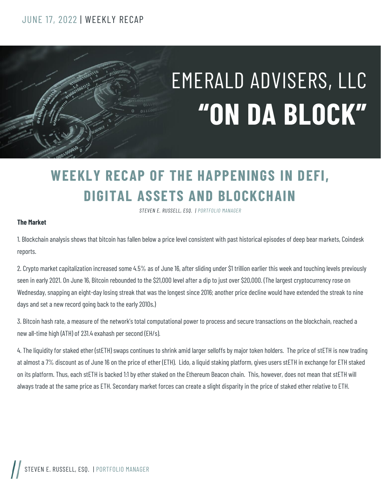#### JUNE 17, 2022 | WEEKLY RECAP

# EMERALD ADVISERS, LLC **"ON DA BLOCK"**

### **WEEKLY RECAP OF THE HAPPENINGS IN DEFI, DIGITAL ASSETS AND BLOCKCHAIN**

*STEVEN E. RUSSELL, ESQ. | PORTFOLIO MANAGER*

#### **The Market**

1. Blockchain analysis shows that bitcoin has fallen below a price level consistent with past historical episodes of deep bear markets, Coindesk reports.

2. Crypto market capitalization increased some 4.5% as of June 16, after sliding under \$1 trillion earlier this week and touching levels previously seen in early 2021. On June 16, Bitcoin rebounded to the \$21,000 level after a dip to just over \$20,000. (The largest cryptocurrency rose on Wednesday, snapping an eight-day losing streak that was the longest since 2016; another price decline would have extended the streak to nine days and set a new record going back to the early 2010s.)

3. Bitcoin hash rate, a measure of the network's total computational power to process and secure transactions on the blockchain, reached a new all-time high (ATH) of 231.4 exahash per second (EH/s).

4. The liquidity for staked ether (stETH) swaps continues to shrink amid larger selloffs by major token holders. The price of stETH is now trading at almost a 7% discount as of June 16 on the price of ether (ETH). Lido, a liquid staking platform, gives users stETH in exchange for ETH staked on its platform. Thus, each stETH is backed 1:1 by ether staked on the Ethereum Beacon chain. This, however, does not mean that stETH will always trade at the same price as ETH. Secondary market forces can create a slight disparity in the price of staked ether relative to ETH.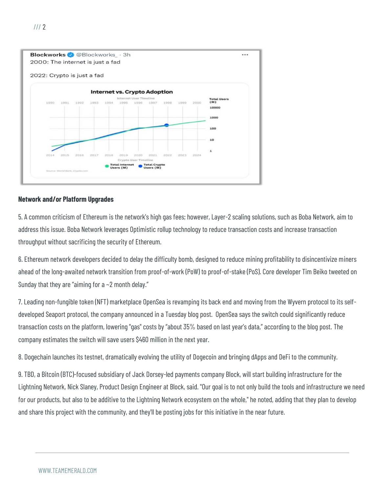

#### **Network and/or Platform Upgrades**

5. A common criticism of Ethereum is the network's high gas fees; however, Layer-2 scaling solutions, such as Boba Network, aim to address this issue. Boba Network leverages Optimistic rollup technology to reduce transaction costs and increase transaction throughput without sacrificing the security of Ethereum.

6. Ethereum network developers decided to delay the difficulty bomb, designed to reduce mining profitability to disincentivize miners ahead of the long-awaited network transition from proof-of-work (PoW) to proof-of-stake (PoS). Core developer Tim Beiko tweeted on Sunday that they are "aiming for a  $\sim$  2 month delay."

7. Leading non-fungible token (NFT) marketplace OpenSea is revamping its back end and moving from the Wyvern protocol to its selfdeveloped Seaport protocol, the company announced in a Tuesday blog post. OpenSea says the switch could significantly reduce transaction costs on the platform, lowering "gas" costs by "about 35% based on last year's data," according to the blog post. The company estimates the switch will save users \$460 million in the next year.

8. Dogechain launches its testnet, dramatically evolving the utility of Dogecoin and bringing dApps and DeFi to the community.

9. TBD, a Bitcoin (BTC)-focused subsidiary of Jack Dorsey-led payments company Block, will start building infrastructure for the Lightning Network, Nick Slaney, Product Design Engineer at Block, said. "Our goal is to not only build the tools and infrastructure we need for our products, but also to be additive to the Lightning Network ecosystem on the whole," he noted, adding that they plan to develop and share this project with the community, and they'll be posting jobs for this initiative in the near future.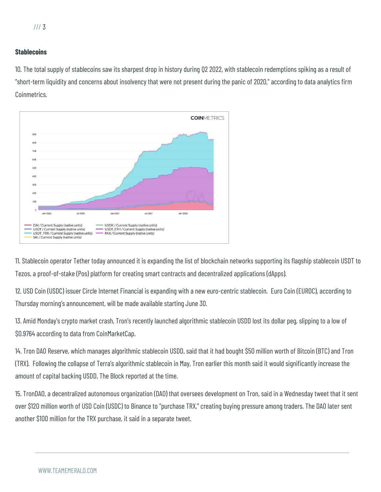#### **Stablecoins**

10. The total supply of stablecoins saw its sharpest drop in history during Q2 2022, with stablecoin redemptions spiking as a result of "short-term liquidity and concerns about insolvency that were not present during the panic of 2020," according to data analytics firm Coinmetrics.



11. Stablecoin operator Tether today announced it is expanding the list of blockchain networks supporting its flagship stablecoin USDT to Tezos, a proof-of-stake (Pos) platform for creating smart contracts and decentralized applications (dApps).

12. USD Coin (USDC) issuer Circle Internet Financial is expanding with a new euro-centric stablecoin. Euro Coin (EUROC), according to Thursday morning's announcement, will be made available starting June 30.

13. Amid Monday's crypto market crash, Tron's recently launched algorithmic stablecoin USDD lost its dollar peg, slipping to a low of \$0.9764 according to data from CoinMarketCap.

14. Tron DAO Reserve, which manages algorithmic stablecoin USDD, said that it had bought \$50 million worth of Bitcoin (BTC) and Tron (TRX). Following the collapse of Terra's algorithmic stablecoin in May, Tron earlier this month said it would significantly increase the amount of capital backing USDD, The Block reported at the time.

15. TronDAO, a decentralized autonomous organization (DAO) that oversees development on Tron, said in a Wednesday tweet that it sent over \$120 million worth of USD Coin (USDC) to Binance to "purchase TRX," creating buying pressure among traders. The DAO later sent another \$100 million for the TRX purchase, it said in a separate tweet.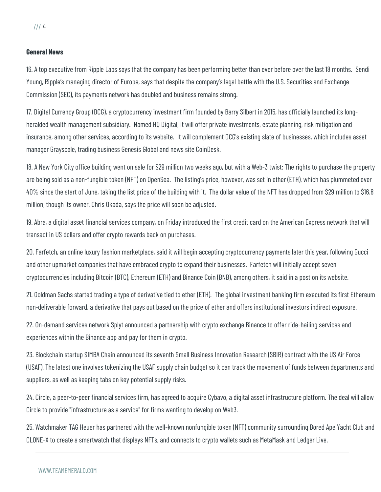#### **General News**

16. A top executive from Ripple Labs says that the company has been performing better than ever before over the last 18 months. Sendi Young, Ripple's managing director of Europe, says that despite the company's legal battle with the U.S. Securities and Exchange Commission (SEC), its payments network has doubled and business remains strong.

17. Digital Currency Group (DCG), a cryptocurrency investment firm founded by Barry Silbert in 2015, has officially launched its longheralded wealth management subsidiary. Named HQ Digital, it will offer private investments, estate planning, risk mitigation and insurance, among other services, according to its website. It will complement DCG's existing slate of businesses, which includes asset manager Grayscale, trading business Genesis Global and news site CoinDesk.

18. A New York City office building went on sale for \$29 million two weeks ago, but with a Web-3 twist: The rights to purchase the property are being sold as a non-fungible token (NFT) on OpenSea. The listing's price, however, was set in ether (ETH), which has plummeted over 40% since the start of June, taking the list price of the building with it. The dollar value of the NFT has dropped from \$29 million to \$16.8 million, though its owner, Chris Okada, says the price will soon be adjusted.

19. Abra, a digital asset financial services company, on Friday introduced the first credit card on the American Express network that will transact in US dollars and offer crypto rewards back on purchases.

20. Farfetch, an online luxury fashion marketplace, said it will begin accepting cryptocurrency payments later this year, following Gucci and other upmarket companies that have embraced crypto to expand their businesses. Farfetch will initially accept seven cryptocurrencies including Bitcoin (BTC), Ethereum (ETH) and Binance Coin (BNB), among others, it said in a post on its website.

21. Goldman Sachs started trading a type of derivative tied to ether (ETH). The global investment banking firm executed its first Ethereum non-deliverable forward, a derivative that pays out based on the price of ether and offers institutional investors indirect exposure.

22. On-demand services network Splyt announced a partnership with crypto exchange Binance to offer ride-hailing services and experiences within the Binance app and pay for them in crypto.

23. Blockchain startup SIMBA Chain announced its seventh Small Business Innovation Research (SBIR) contract with the US Air Force (USAF). The latest one involves tokenizing the USAF supply chain budget so it can track the movement of funds between departments and suppliers, as well as keeping tabs on key potential supply risks.

24. Circle, a peer-to-peer financial services firm, has agreed to acquire Cybavo, a digital asset infrastructure platform. The deal will allow Circle to provide "infrastructure as a service" for firms wanting to develop on Web3.

25. Watchmaker TAG Heuer has partnered with the well-known nonfungible token (NFT) community surrounding Bored Ape Yacht Club and CLONE-X to create a smartwatch that displays NFTs, and connects to crypto wallets such as MetaMask and Ledger Live.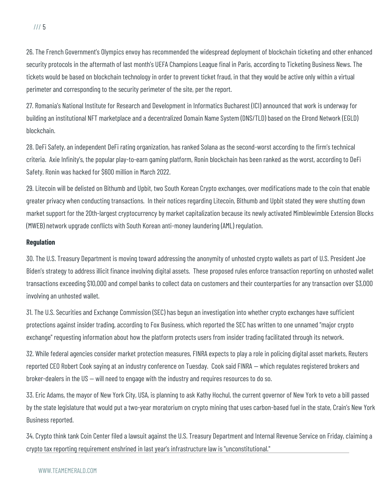26. The French Government's Olympics envoy has recommended the widespread deployment of blockchain ticketing and other enhanced security protocols in the aftermath of last month's UEFA Champions League final in Paris, according to Ticketing Business News. The tickets would be based on blockchain technology in order to prevent ticket fraud, in that they would be active only within a virtual perimeter and corresponding to the security perimeter of the site, per the report.

27. Romania's National Institute for Research and Development in Informatics Bucharest (ICI) announced that work is underway for building an institutional NFT marketplace and a decentralized Domain Name System (DNS/TLD) based on the Elrond Network (EGLD) blockchain.

28. DeFi Safety, an independent DeFi rating organization, has ranked Solana as the second-worst according to the firm's technical criteria. Axie Infinity's, the popular play-to-earn gaming platform, Ronin blockchain has been ranked as the worst, according to DeFi Safety. Ronin was hacked for \$600 million in March 2022.

29. Litecoin will be delisted on Bithumb and Upbit, two South Korean Crypto exchanges, over modifications made to the coin that enable greater privacy when conducting transactions. In their notices regarding Litecoin, Bithumb and Upbit stated they were shutting down market support for the 20th-largest cryptocurrency by market capitalization because its newly activated Mimblewimble Extension Blocks (MWEB) network upgrade conflicts with South Korean anti-money laundering (AML) regulation.

#### **Regulation**

30. The U.S. Treasury Department is moving toward addressing the anonymity of unhosted crypto wallets as part of U.S. President Joe Biden's strategy to address illicit finance involving digital assets. These proposed rules enforce transaction reporting on unhosted wallet transactions exceeding \$10,000 and compel banks to collect data on customers and their counterparties for any transaction over \$3,000 involving an unhosted wallet.

31. The U.S. Securities and Exchange Commission (SEC) has begun an investigation into whether crypto exchanges have sufficient protections against insider trading, according to Fox Business, which reported the SEC has written to one unnamed "major crypto exchange" requesting information about how the platform protects users from insider trading facilitated through its network.

32. While federal agencies consider market protection measures, FINRA expects to play a role in policing digital asset markets, Reuters reported CEO Robert Cook saying at an industry conference on Tuesday. Cook said FINRA — which regulates registered brokers and broker-dealers in the US — will need to engage with the industry and requires resources to do so.

33. Eric Adams, the mayor of New York City, USA, is planning to ask Kathy Hochul, the current governor of New York to veto a bill passed by the state legislature that would put a two-year moratorium on crypto mining that uses carbon-based fuel in the state, Crain's New York Business reported.

34. Crypto think tank Coin Center filed a lawsuit against the U.S. Treasury Department and Internal Revenue Service on Friday, claiming a crypto tax reporting requirement enshrined in last year's infrastructure law is "unconstitutional."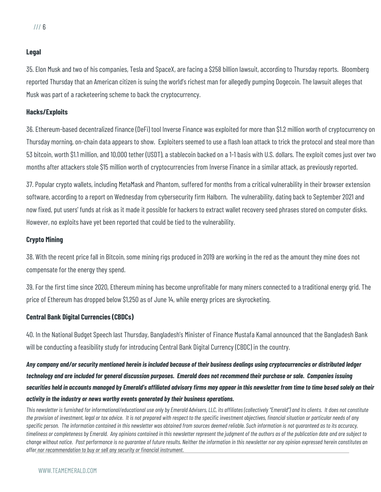#### **Legal**

35. Elon Musk and two of his companies, Tesla and SpaceX, are facing a \$258 billion lawsuit, according to Thursday reports. Bloomberg reported Thursday that an American citizen is suing the world's richest man for allegedly pumping Dogecoin. The lawsuit alleges that Musk was part of a racketeering scheme to back the cryptocurrency.

#### **Hacks/Exploits**

36. Ethereum-based decentralized finance (DeFi) tool Inverse Finance was exploited for more than \$1.2 million worth of cryptocurrency on Thursday morning, on-chain data appears to show. Exploiters seemed to use a flash loan attack to trick the protocol and steal more than 53 bitcoin, worth \$1.1 million, and 10,000 tether (USDT), a stablecoin backed on a 1-1 basis with U.S. dollars. The exploit comes just over two months after attackers stole \$15 million worth of cryptocurrencies from Inverse Finance in a similar attack, as previously reported.

37. Popular crypto wallets, including MetaMask and Phantom, suffered for months from a critical vulnerability in their browser extension software, according to a report on Wednesday from cybersecurity firm Halborn. The vulnerability, dating back to September 2021 and now fixed, put users' funds at risk as it made it possible for hackers to extract wallet recovery seed phrases stored on computer disks. However, no exploits have yet been reported that could be tied to the vulnerability.

#### **Crypto Mining**

38. With the recent price fall in Bitcoin, some mining rigs produced in 2019 are working in the red as the amount they mine does not compensate for the energy they spend.

39. For the first time since 2020, Ethereum mining has become unprofitable for many miners connected to a traditional energy grid. The price of Ethereum has dropped below \$1,250 as of June 14, while energy prices are skyrocketing.

#### **Central Bank Digital Currencies (CBDCs)**

40. In the National Budget Speech last Thursday, Bangladesh's Minister of Finance Mustafa Kamal announced that the Bangladesh Bank will be conducting a feasibility study for introducing Central Bank Digital Currency (CBDC) in the country.

*Any company and/or security mentioned herein is included because of their business dealings using cryptocurrencies or distributed ledger technology and are included for general discussion purposes. Emerald does not recommend their purchase or sale. Companies issuing securities held in accounts managed by Emerald's affiliated advisory firms may appear in this newsletter from time to time based solely on their activity in the industry or news worthy events generated by their business operations.*

*This newsletter is furnished for informational/educational use only by Emerald Advisers, LLC, its affiliates (collectively "Emerald") and its clients. It does not constitute the provision of investment, legal or tax advice. It is not prepared with respect to the specific investment objectives, financial situation or particular needs of any specific person. The information contained in this newsletter was obtained from sources deemed reliable. Such information is not guaranteed as to its accuracy, timeliness or completeness by Emerald. Any opinions contained in this newsletter represent the judgment of the authors as of the publication date and are subject to change without notice. Past performance is no guarantee of future results. Neither the information in this newsletter nor any opinion expressed herein constitutes an offer nor recommendation to buy or sell any security or financial instrument.*